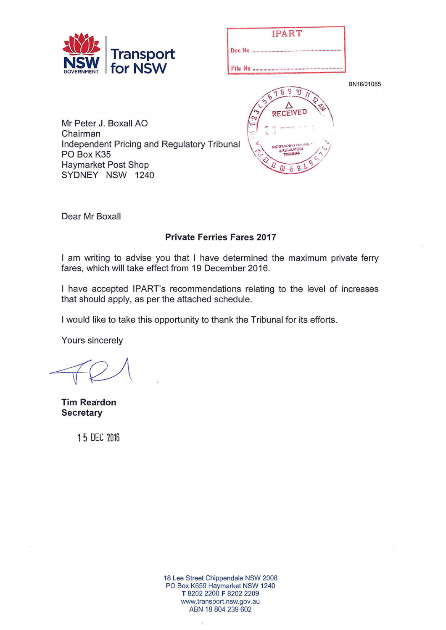

| <b>IPART</b>               |    |
|----------------------------|----|
| Doc No                     |    |
| <b>File No monumumumum</b> |    |
| 77<br>63                   | BI |

**RECEIVED** 

N16/01085

Mr Peter J. Boxall AO Chairman Independent Pricing and Regulatory Tribunal PO Box K35 Haymarket Post Shop SYDNEY NSW 1240

Dear Mr Boxall

## **Private Ferries Fares 2017**

I am writing to advise you that I have determined the maximum private ferry fares, which will take effect from 19 December 2016.

I have accepted IPART's recommendations relating to the level of increases that should apply, as per the attached schedule.

I would like to take this opportunity to thank the Tribunal for its efforts.

Yours sincerely

**Tim Reardon Secretary** 

**1** 5 DEC Z016

18 Lee Street Chippendale NSW 2008 PO Box K659 Haymarket NSW 1240 T 8202 2200 F 8202 2209 www.transport.nsw.gov.au ABN 18 804 239 602

 $\mathcal{L}$